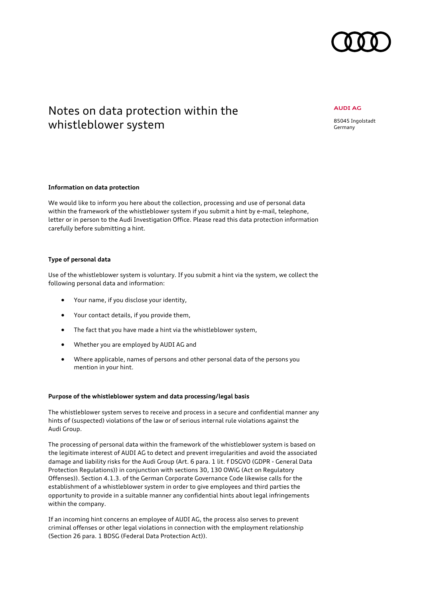

# Notes on data protection within the whistleblower system

### **AUDI AG**

85045 Ingolstadt Germany

# **Information on data protection**

We would like to inform you here about the collection, processing and use of personal data within the framework of the whistleblower system if you submit a hint by e-mail, telephone, letter or in person to the Audi Investigation Office. Please read this data protection information carefully before submitting a hint.

# **Type of personal data**

Use of the whistleblower system is voluntary. If you submit a hint via the system, we collect the following personal data and information:

- Your name, if you disclose your identity,
- Your contact details, if you provide them,
- The fact that you have made a hint via the whistleblower system,
- Whether you are employed by AUDI AG and
- Where applicable, names of persons and other personal data of the persons you mention in your hint.

### **Purpose of the whistleblower system and data processing/legal basis**

The whistleblower system serves to receive and process in a secure and confidential manner any hints of (suspected) violations of the law or of serious internal rule violations against the Audi Group.

The processing of personal data within the framework of the whistleblower system is based on the legitimate interest of AUDI AG to detect and prevent irregularities and avoid the associated damage and liability risks for the Audi Group (Art. 6 para. 1 lit. f DSGVO (GDPR - General Data Protection Regulations)) in conjunction with sections 30, 130 OWiG (Act on Regulatory Offenses)). Section 4.1.3. of the German Corporate Governance Code likewise calls for the establishment of a whistleblower system in order to give employees and third parties the opportunity to provide in a suitable manner any confidential hints about legal infringements within the company.

If an incoming hint concerns an employee of AUDI AG, the process also serves to prevent criminal offenses or other legal violations in connection with the employment relationship (Section 26 para. 1 BDSG (Federal Data Protection Act)).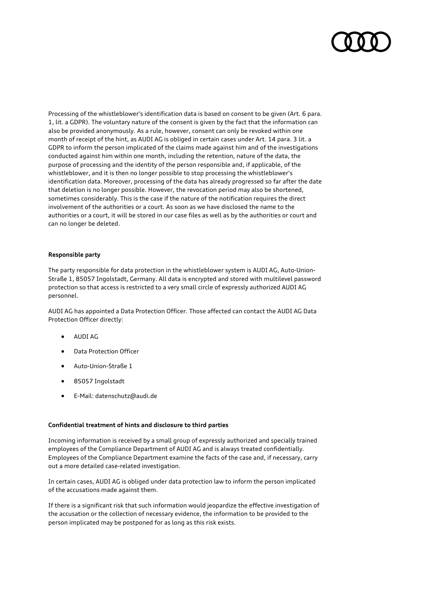Processing of the whistleblower's identification data is based on consent to be given (Art. 6 para. 1, lit. a GDPR). The voluntary nature of the consent is given by the fact that the information can also be provided anonymously. As a rule, however, consent can only be revoked within one month of receipt of the hint, as AUDI AG is obliged in certain cases under Art. 14 para. 3 lit. a GDPR to inform the person implicated of the claims made against him and of the investigations conducted against him within one month, including the retention, nature of the data, the purpose of processing and the identity of the person responsible and, if applicable, of the whistleblower, and it is then no longer possible to stop processing the whistleblower's identification data. Moreover, processing of the data has already progressed so far after the date that deletion is no longer possible. However, the revocation period may also be shortened, sometimes considerably. This is the case if the nature of the notification requires the direct involvement of the authorities or a court. As soon as we have disclosed the name to the authorities or a court, it will be stored in our case files as well as by the authorities or court and can no longer be deleted.

# **Responsible party**

The party responsible for data protection in the whistleblower system is AUDI AG, Auto-Union-Straße 1, 85057 Ingolstadt, Germany. All data is encrypted and stored with multilevel password protection so that access is restricted to a very small circle of expressly authorized AUDI AG personnel.

AUDI AG has appointed a Data Protection Officer. Those affected can contact the AUDI AG Data Protection Officer directly:

- AUDI AG
- Data Protection Officer
- Auto-Union-Straße 1
- 85057 Ingolstadt
- E-Mail: datenschutz@audi.de

# **Confidential treatment of hints and disclosure to third parties**

Incoming information is received by a small group of expressly authorized and specially trained employees of the Compliance Department of AUDI AG and is always treated confidentially. Employees of the Compliance Department examine the facts of the case and, if necessary, carry out a more detailed case-related investigation.

In certain cases, AUDI AG is obliged under data protection law to inform the person implicated of the accusations made against them.

If there is a significant risk that such information would jeopardize the effective investigation of the accusation or the collection of necessary evidence, the information to be provided to the person implicated may be postponed for as long as this risk exists.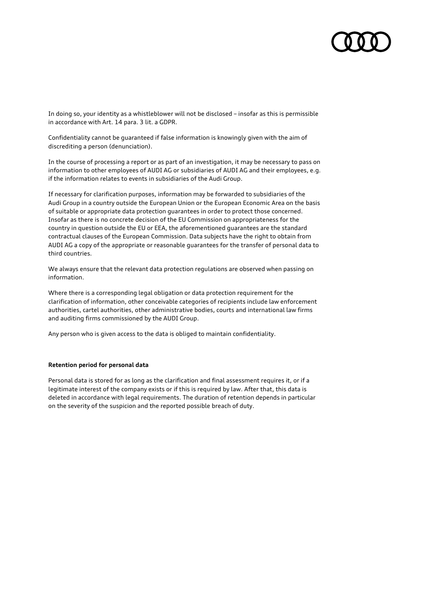In doing so, your identity as a whistleblower will not be disclosed – insofar as this is permissible in accordance with Art. 14 para. 3 lit. a GDPR.

Confidentiality cannot be guaranteed if false information is knowingly given with the aim of discrediting a person (denunciation).

In the course of processing a report or as part of an investigation, it may be necessary to pass on information to other employees of AUDI AG or subsidiaries of AUDI AG and their employees, e.g. if the information relates to events in subsidiaries of the Audi Group.

If necessary for clarification purposes, information may be forwarded to subsidiaries of the Audi Group in a country outside the European Union or the European Economic Area on the basis of suitable or appropriate data protection guarantees in order to protect those concerned. Insofar as there is no concrete decision of the EU Commission on appropriateness for the country in question outside the EU or EEA, the aforementioned guarantees are the standard contractual clauses of the European Commission. Data subjects have the right to obtain from AUDI AG a copy of the appropriate or reasonable guarantees for the transfer of personal data to third countries.

We always ensure that the relevant data protection regulations are observed when passing on information.

Where there is a corresponding legal obligation or data protection requirement for the clarification of information, other conceivable categories of recipients include law enforcement authorities, cartel authorities, other administrative bodies, courts and international law firms and auditing firms commissioned by the AUDI Group.

Any person who is given access to the data is obliged to maintain confidentiality.

# **Retention period for personal data**

Personal data is stored for as long as the clarification and final assessment requires it, or if a legitimate interest of the company exists or if this is required by law. After that, this data is deleted in accordance with legal requirements. The duration of retention depends in particular on the severity of the suspicion and the reported possible breach of duty.